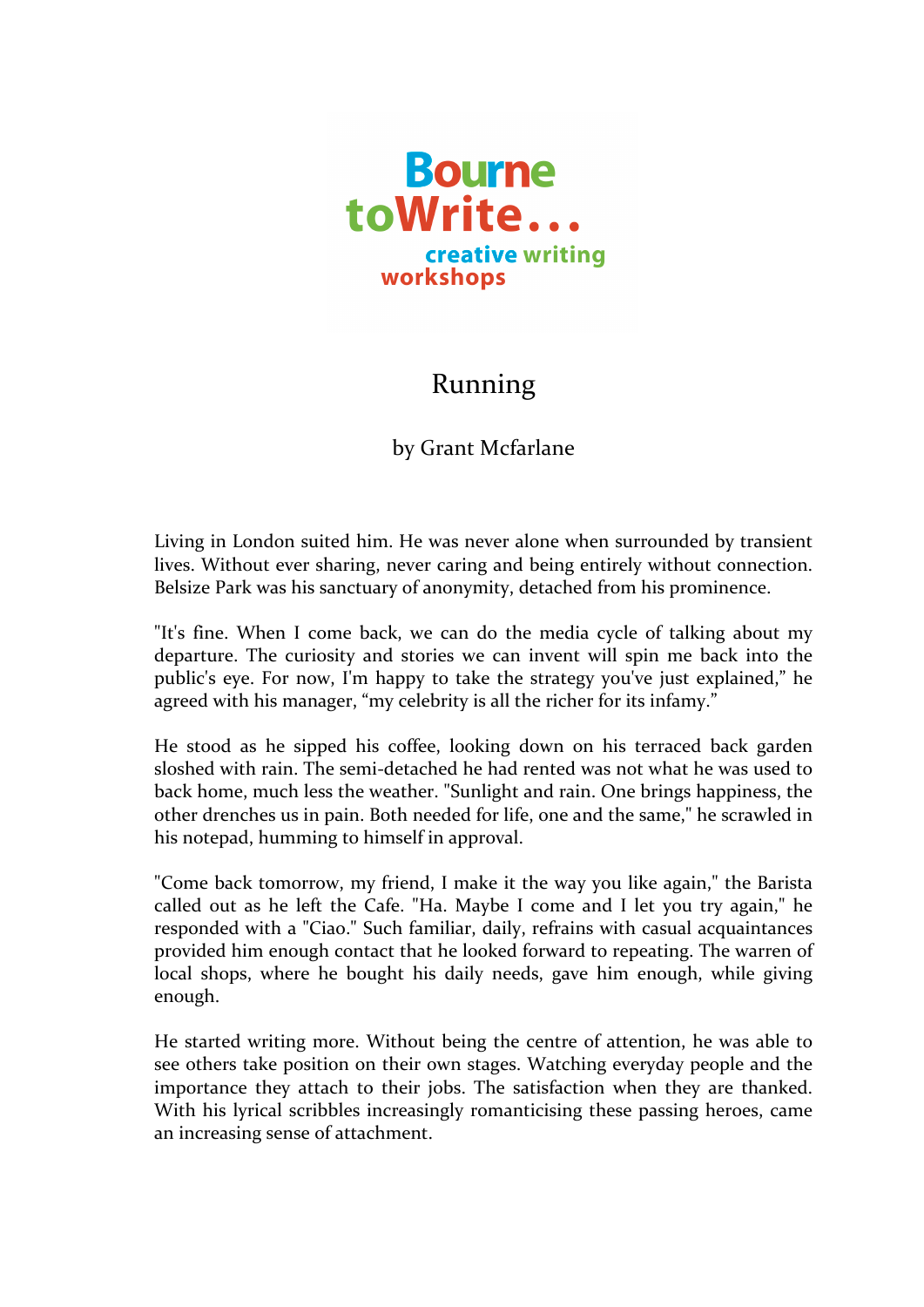

## Running

by Grant Mcfarlane

Living in London suited him. He was never alone when surrounded by transient lives. Without ever sharing, never caring and being entirely without connection. Belsize Park was his sanctuary of anonymity, detached from his prominence.

"It's fine. When I come back, we can do the media cycle of talking about my departure. The curiosity and stories we can invent will spin me back into the public's eye. For now, I'm happy to take the strategy you've just explained," he agreed with his manager, "my celebrity is all the richer for its infamy."

He stood as he sipped his coffee, looking down on his terraced back garden sloshed with rain. The semi-detached he had rented was not what he was used to back home, much less the weather. "Sunlight and rain. One brings happiness, the other drenches us in pain. Both needed for life, one and the same," he scrawled in his notepad, humming to himself in approval.

"Come back tomorrow, my friend, I make it the way you like again," the Barista called out as he left the Cafe. "Ha. Maybe I come and I let you try again," he responded with a "Ciao." Such familiar, daily, refrains with casual acquaintances provided him enough contact that he looked forward to repeating. The warren of local shops, where he bought his daily needs, gave him enough, while giving enough.

He started writing more. Without being the centre of attention, he was able to see others take position on their own stages. Watching everyday people and the importance they attach to their jobs. The satisfaction when they are thanked. With his lyrical scribbles increasingly romanticising these passing heroes, came an increasing sense of attachment.